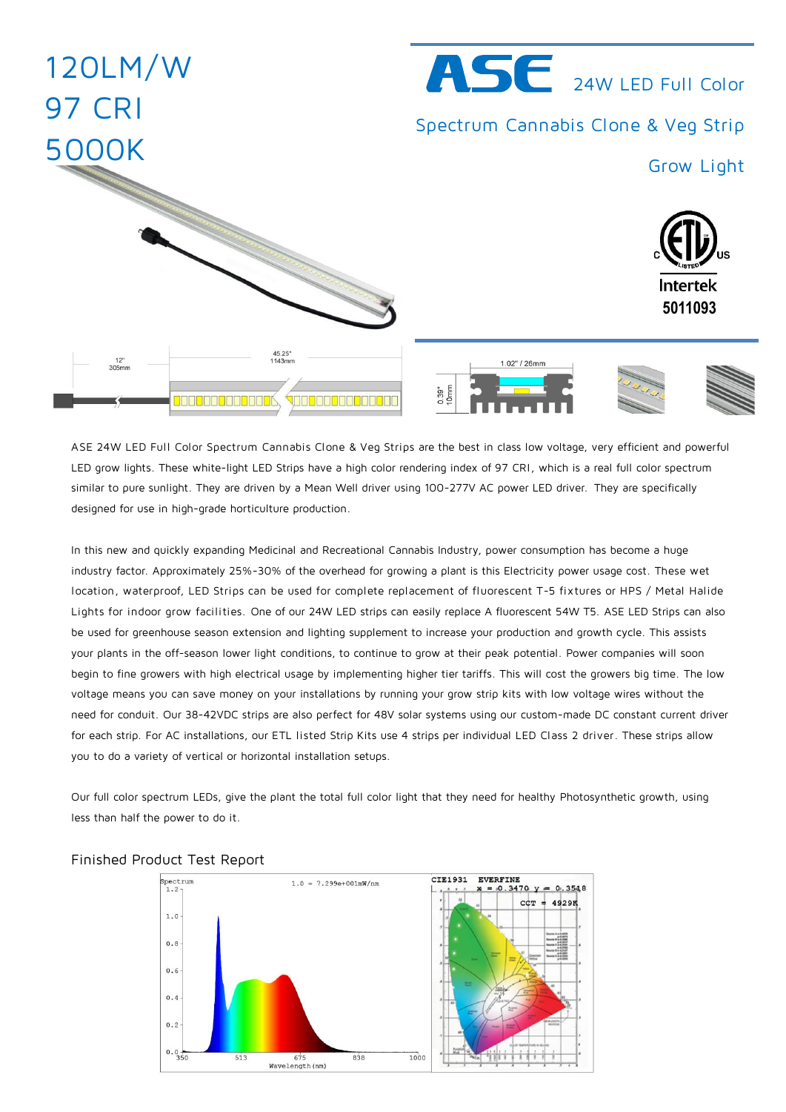

ASE 24W LED Full Color Spectrum Cannabis Clone & Veg Strips are the best in class low voltage, very efficient and powerful LED grow lights. These white-light LED Strips have a high color rendering index of 97 CRI, which is a real full color spectrum similar to pure sunlight. They are driven by a Mean Well driver using 100-277V AC power LED driver. They are specifically designed for use in high-grade horticulture production.

In this new and quickly expanding Medicinal and Recreational Cannabis Industry, power consumption has become a huge industry factor. Approximately 25%-30% of the overhead for growing a plant is this Electricity power usage cost. These wet location, waterproof, LED Strips can be used for complete replacement of fluorescent T-5 fix tures or HPS / Metal Halide Lights for indoor grow facilities. One of our 24W LED strips can easily replace A fluorescent 54W T5. ASE LED Strips can also be used for greenhouse season extension and lighting supplement to increase your production and growth cycle. This assists your plants in the off-season lower light conditions, to continue to grow at their peak potential. Power companies will soon begin to fine growers with high electrical usage by implementing higher tier tariffs. This will cost the growers big time. The low voltage means you can save money on your installations by running your grow strip kits with low voltage wires without the need for conduit. Our 38-42VDC strips are also perfect for 48V solar systems using our custom-made DC constant current driver for each strip. For AC installations, our ETL listed Strip Kits use 4 strips per individual LED Class 2 driver. These strips allow you to do a variety of vertical or horizontal installation setups.

Our full color spectrum LEDs, give the plant the total full color light that they need for healthy Photosynthetic growth, using less than half the power to do it.



## Finished Product Test Report